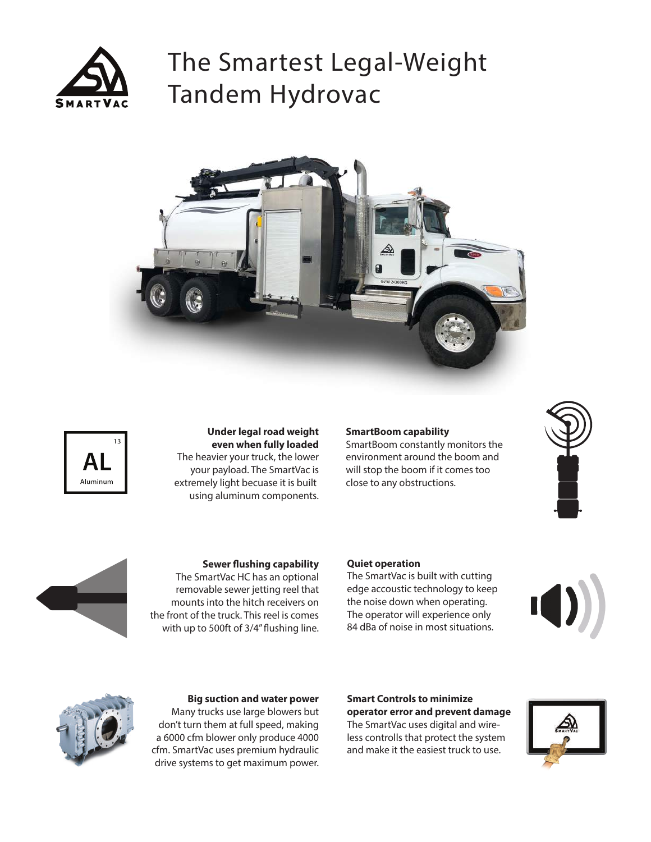

# The Smartest Legal-Weight Tandem Hydrovac





**Under legal road weight even when fully loaded** The heavier your truck, the lower your payload. The SmartVac is extremely light becuase it is built using aluminum components.

#### **SmartBoom capability**

SmartBoom constantly monitors the environment around the boom and will stop the boom if it comes too close to any obstructions.





**Sewer flushing capability** The SmartVac HC has an optional

removable sewer jetting reel that mounts into the hitch receivers on the front of the truck. This reel is comes with up to 500ft of 3/4" flushing line.

#### **Quiet operation**

The SmartVac is built with cutting edge accoustic technology to keep the noise down when operating. The operator will experience only 84 dBa of noise in most situations.





#### **Big suction and water power**

Many trucks use large blowers but don't turn them at full speed, making a 6000 cfm blower only produce 4000 cfm. SmartVac uses premium hydraulic drive systems to get maximum power.

#### **Smart Controls to minimize operator error and prevent damage**

The SmartVac uses digital and wireless controlls that protect the system and make it the easiest truck to use.